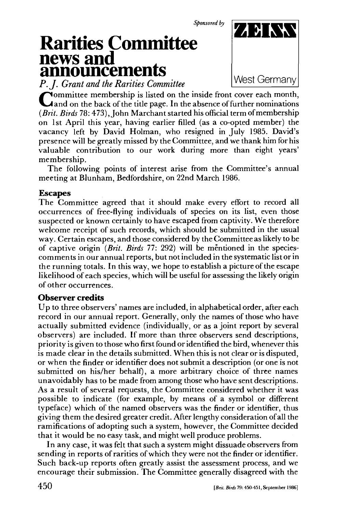*Sponsored by* 

## **Rarities Committee news and announcements**

*P.J. Grant and the Rarities Committee* 



**C**ommittee membership is listed on the inside front cover each month,<br>**Cand on the back of the title page.** In the absence of further nominations ommittee membership is listed on the inside front cover each month, *(Brit. Birds* 78: 473), John Marchant started his official term of membership on 1st April this year, having earlier filled (as a co-opted member) the vacancy left by David Holman, who resigned in July 1985. David's presence will be greatly missed by the Committee, and we thank him for his valuable contribution to our work during more than eight years' membership.

The following points of interest arise from the Committee's annual meeting at Blunham, Bedfordshire, on 22nd March 1986.

## **Escapes**

The Committee agreed that it should make every effort to record all occurrences of free-flying individuals of species on its list, even those suspected or known certainly to have escaped from captivity. We therefore welcome receipt of such records, which should be submitted in the usual way. Certain escapes, and those considered by the Committee as likely to be of captive origin *(Brit. Birds* 77: 292) will be mentioned in the speciescomments in our annual reports, but not included in the systematic list or in the running totals. In this way, we hope to establish a picture of the escape likelihood of each species, which will be useful for assessing the likely origin of other occurrences.

## **Observer credits**

Up to three observers' names are included, in alphabetical order, after each record in our annual report. Generally, only the names of those who have actually submitted evidence (individually, or as a joint report by several observers) are included. If more than three observers send descriptions, priority is given to those who first found or identified the bird, whenever this is made clear in the details submitted. When this is not clear or is disputed, or when the finder or identifier does not submit a description (or one is not submitted on his/her behalf), a more arbitrary choice of three names unavoidably has to be made from among those who have sent descriptions. As a result of several requests, the Committee considered whether it was possible to indicate (for example, by means of a symbol or different typeface) which of the named observers was the finder or identifier, thus giving them the desired greater credit. After lengthy consideration of all the ramifications of adopting such a system, however, the Committee decided that it would be no easy task, and might well produce problems.

In any case, it was felt that such a system might dissuade observers from sending in reports of rarities of which they were not the finder or identifier. Such back-up reports often greatly assist the assessment process, and we encourage their submission. The Committee generally disagreed with the